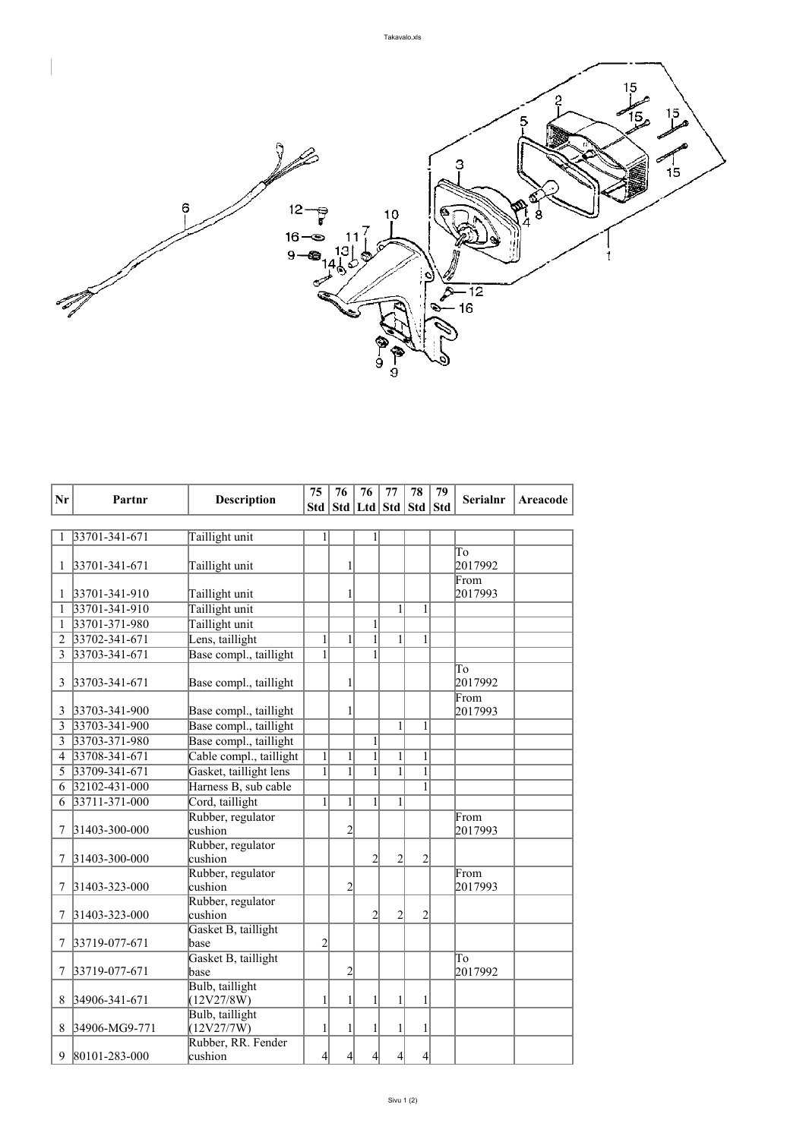

| Nr           | Partnr              | <b>Description</b>          | 75               | 76             | 76              | 77              | 78                   | 79         |                 |          |
|--------------|---------------------|-----------------------------|------------------|----------------|-----------------|-----------------|----------------------|------------|-----------------|----------|
|              |                     |                             | Std              |                | Std   Ltd   Std |                 | $\left  \right $ Std | <b>Std</b> | <b>Serialnr</b> | Areacode |
|              |                     |                             |                  |                |                 |                 |                      |            |                 |          |
|              | 33701-341-671       | Taillight unit              |                  |                |                 |                 |                      |            |                 |          |
|              |                     |                             |                  |                |                 |                 |                      |            | To              |          |
| 1            | 33701-341-671       | Taillight unit              |                  |                |                 |                 |                      |            | 2017992         |          |
|              |                     |                             |                  |                |                 |                 |                      |            | From            |          |
|              | 33701-341-910       | Taillight unit              |                  |                |                 |                 |                      |            | 2017993         |          |
| 1            | 33701-341-910       | Taillight unit              |                  |                |                 | $\mathbf{1}$    | $\mathbf{1}$         |            |                 |          |
| $\mathbf{1}$ | 33701-371-980       | Taillight unit              |                  |                | 1               |                 |                      |            |                 |          |
| 2            | 33702-341-671       | Lens, taillight             | 1                | $\mathbf{1}$   | 1               | $\mathbf{1}$    | 1                    |            |                 |          |
| 3            | 33703-341-671       | Base compl., taillight      |                  |                |                 |                 |                      |            |                 |          |
|              |                     |                             |                  |                |                 |                 |                      |            | To              |          |
| 3            | 33703-341-671       | Base compl., taillight      |                  |                |                 |                 |                      |            | 2017992         |          |
|              |                     |                             |                  |                |                 |                 |                      |            | From            |          |
| 3            | 33703-341-900       | Base compl., taillight      |                  | 1              |                 |                 |                      |            | 2017993         |          |
| 3            | 33703-341-900       | Base compl., taillight      |                  |                |                 | 1               | 1                    |            |                 |          |
| 3            | 33703-371-980       | Base compl., taillight      |                  |                | $\mathbf 1$     |                 |                      |            |                 |          |
| 4            | 33708-341-671       | Cable compl., taillight     | 1                | $\mathbf{1}$   | $\overline{1}$  | $\mathbf 1$     | 1                    |            |                 |          |
| 5            | 33709-341-671       | Gasket, taillight lens      |                  | 1              | 1               | $\mathbf{1}$    | $\mathbf{1}$         |            |                 |          |
| 6            | $32102 - 431 - 000$ | Harness B, sub cable        |                  |                |                 |                 | 1                    |            |                 |          |
| 6            | 33711-371-000       | Cord, taillight             | 1                | $\mathbf{1}$   | $\mathbf{1}$    | $\mathbf{1}$    |                      |            |                 |          |
|              |                     | Rubber, regulator           |                  |                |                 |                 |                      |            | From            |          |
| 7            | $31403 - 300 - 000$ | cushion                     |                  | $\overline{2}$ |                 |                 |                      |            | 2017993         |          |
|              |                     | Rubber, regulator           |                  |                |                 |                 |                      |            |                 |          |
| 7            | $31403 - 300 - 000$ | cushion                     |                  |                | $\overline{2}$  | $\overline{2}$  |                      |            |                 |          |
|              |                     | Rubber, regulator           |                  |                |                 |                 |                      |            | From            |          |
|              | $31403 - 323 - 000$ | cushion                     |                  | $\overline{2}$ |                 |                 |                      |            | 2017993         |          |
|              | $31403 - 323 - 000$ | Rubber, regulator           |                  |                |                 |                 |                      |            |                 |          |
|              |                     | cushion                     |                  |                | 21              | 2               | $\mathcal{Z}$        |            |                 |          |
|              | 33719-077-671       | Gasket B, taillight<br>base | $\overline{2}$   |                |                 |                 |                      |            |                 |          |
|              |                     | Gasket B, taillight         |                  |                |                 |                 |                      |            | To              |          |
| 7            | 33719-077-671       | base                        |                  | $\overline{2}$ |                 |                 |                      |            | 2017992         |          |
|              |                     | Bulb, taillight             |                  |                |                 |                 |                      |            |                 |          |
| 8            | 34906-341-671       | (12V27/8W)                  | 1                |                |                 | 1               |                      |            |                 |          |
|              |                     | Bulb, taillight             |                  |                |                 |                 |                      |            |                 |          |
| 8            | 34906-MG9-771       | (12V27/7W)                  |                  |                |                 | 1               |                      |            |                 |          |
|              |                     | Rubber, RR. Fender          |                  |                |                 |                 |                      |            |                 |          |
| 9            | 80101-283-000       | cushion                     | $\left 4\right $ | 4              | 4               | $\vert 4 \vert$ | 4                    |            |                 |          |